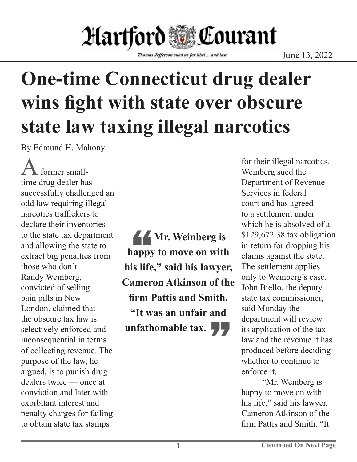## Hartford **W**ourant

Thomas Jefferson sued us for libel ... and lost

## **One-time Connecticut drug dealer wins fight with state over obscure state law taxing illegal narcotics**

By Edmund H. Mahony

former smalltime drug dealer has successfully challenged an odd law requiring illegal narcotics traffickers to declare their inventories to the state tax department and allowing the state to extract big penalties from those who don't. Randy Weinberg, convicted of selling pain pills in New London, claimed that the obscure tax law is selectively enforced and inconsequential in terms of collecting revenue. The purpose of the law, he argued, is to punish drug dealers twice — once at conviction and later with exorbitant interest and penalty charges for failing to obtain state tax stamps

44<br>|appy<br>is life **Mr. Weinberg is happy to move on with his life," said his lawyer, Cameron Atkinson of the firm Pattis and Smith. "It was an unfair and unfathomable tax.** 

for their illegal narcotics. Weinberg sued the Department of Revenue Services in federal court and has agreed to a settlement under which he is absolved of a \$129,672.38 tax obligation in return for dropping his claims against the state. The settlement applies only to Weinberg's case. John Biello, the deputy state tax commissioner, said Monday the department will review its application of the tax law and the revenue it has produced before deciding whether to continue to enforce it.

"Mr. Weinberg is happy to move on with his life," said his lawyer, Cameron Atkinson of the firm Pattis and Smith. "It